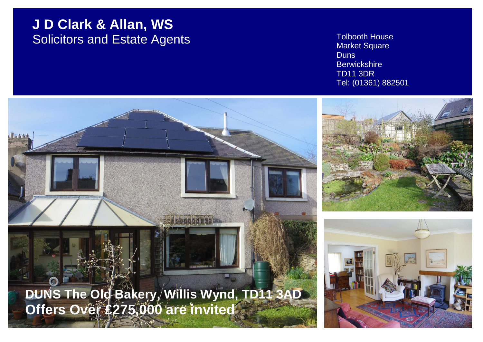# **J D Clark & Allan, WS** Solicitors and Estate Agents Tolbooth House

Market Square **Duns Berwickshire** TD11 3DR Tel: (01361) 882501

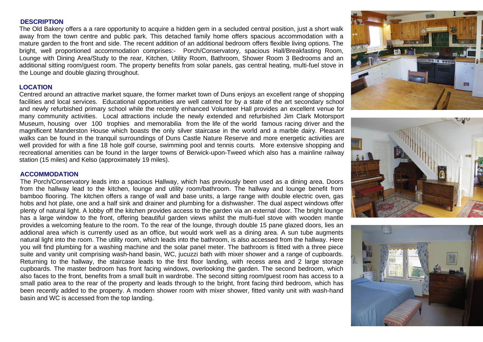#### **DESCRIPTION**

The Old Bakery offers a a rare opportunity to acquire a hidden gem in a secluded central position, just a short walk away from the town centre and public park. This detached family home offers spacious accommodation with a mature garden to the front and side. The recent addition of an additional bedroom offers flexible living options. The bright, well proportioned accommodation comprises:- Porch/Conservatory, spacious Hall/Breakfasting Room, Lounge with Dining Area/Study to the rear, Kitchen, Utility Room, Bathroom, Shower Room 3 Bedrooms and an additional sitting room/guest room. The property benefits from solar panels, gas central heating, multi-fuel stove in the Lounge and double glazing throughout.

#### **LOCATION**

Centred around an attractive market square, the former market town of Duns enjoys an excellent range of shopping facilities and local services. Educational opportunities are well catered for by a state of the art secondary school and newly refurbished primary school while the recently enhanced Volunteer Hall provides an excellent venue for many community activities. Local attractions include the newly extended and refurbished Jim Clark Motorsport Museum, housing over 100 trophies and memorabilia from the life of the world famous racing driver and the magnificent Manderston House which boasts the only silver staircase in the world and a marble dairy. Pleasant walks can be found in the tranquil surroundings of Duns Castle Nature Reserve and more energetic activities are well provided for with a fine 18 hole golf course, swimming pool and tennis courts. More extensive shopping and recreational amenities can be found in the larger towns of Berwick-upon-Tweed which also has a mainline railway station (15 miles) and Kelso (approximately 19 miles).

#### **ACCOMMODATION**

The Porch/Conservatory leads into a spacious Hallway, which has previously been used as a dining area. Doors from the hallway lead to the kitchen, lounge and utility room/bathroom. The hallway and lounge benefit from bamboo flooring. The kitchen offers a range of wall and base units, a large range with double electric oven, gas hobs and hot plate, one and a half sink and drainer and plumbing for a dishwasher. The dual aspect windows offer plenty of natural light. A lobby off the kitchen provides access to the garden via an external door. The bright lounge has a large window to the front, offering beautiful garden views whilst the multi-fuel stove with wooden mantle provides a welcoming feature to the room. To the rear of the lounge, through double 15 pane glazed doors, lies an addional area which is currently used as an office, but would work well as a dining area. A sun tube augments natural light into the room. The utility room, which leads into the bathroom, is also accessed from the hallway. Here you will find plumbing for a washing machine and the solar panel meter. The bathroom is fitted with a three piece suite and vanity unit comprising wash-hand basin, WC, jucuzzi bath with mixer shower and a range of cupboards. Returning to the hallway, the staircase leads to the first floor landing, with recess area and 2 large storage cupboards. The master bedroom has front facing windows, overlooking the garden. The second bedroom, which also faces to the front, benefits from a small built in wardrobe. The second sitting room/guest room has access to a small patio area to the rear of the property and leads through to the bright, front facing third bedroom, which has been recently added to the property. A modern shower room with mixer shower, fitted vanity unit with wash-hand basin and WC is accessed from the top landing.





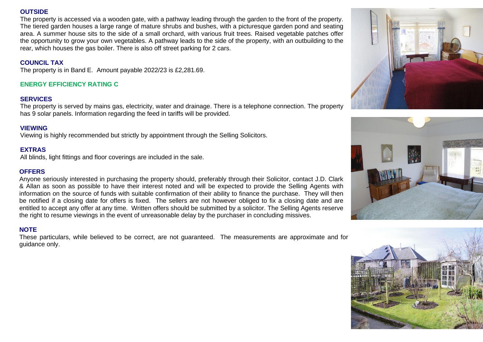# **OUTSIDE**

The property is accessed via a wooden gate, with a pathway leading through the garden to the front of the property. The tiered garden houses a large range of mature shrubs and bushes, with a picturesque garden pond and seating area. A summer house sits to the side of a small orchard, with various fruit trees. Raised vegetable patches offer the opportunity to grow your own vegetables. A pathway leads to the side of the property, with an outbuilding to the rear, which houses the gas boiler. There is also off street parking for 2 cars.

# **COUNCIL TAX**

The property is in Band E. Amount payable 2022/23 is £2,281.69.

# **ENERGY EFFICIENCY RATING C**

# **SERVICES**

The property is served by mains gas, electricity, water and drainage. There is a telephone connection. The property has 9 solar panels. Information regarding the feed in tariffs will be provided.

# **VIEWING**

Viewing is highly recommended but strictly by appointment through the Selling Solicitors.

# **EXTRAS**

All blinds, light fittings and floor coverings are included in the sale.

#### **OFFERS**

Anyone seriously interested in purchasing the property should, preferably through their Solicitor, contact J.D. Clark & Allan as soon as possible to have their interest noted and will be expected to provide the Selling Agents with information on the source of funds with suitable confirmation of their ability to finance the purchase. They will then be notified if a closing date for offers is fixed. The sellers are not however obliged to fix a closing date and are entitled to accept any offer at any time. Written offers should be submitted by a solicitor. The Selling Agents reserve the right to resume viewings in the event of unreasonable delay by the purchaser in concluding missives.

# **NOTE**

These particulars, while believed to be correct, are not guaranteed. The measurements are approximate and for guidance only.